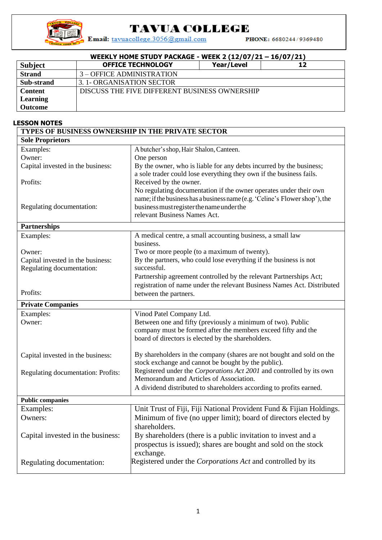

## **TAVUA COLLEGE**

Email: tavuacollege.3056@gmail.com

PHONE: 6680244/9369480

| WEEKLY HOME STUDY PACKAGE - WEEK 2 (12/07/21 - 16/07/21) |                                               |            |    |  |  |  |
|----------------------------------------------------------|-----------------------------------------------|------------|----|--|--|--|
| <b>Subject</b>                                           | <b>OFFICE TECHNOLOGY</b>                      | Year/Level | 12 |  |  |  |
| <b>Strand</b>                                            | 3 – OFFICE ADMINISTRATION                     |            |    |  |  |  |
| Sub-strand                                               | 3. 1- ORGANISATION SECTOR                     |            |    |  |  |  |
| <b>Content</b>                                           | DISCUSS THE FIVE DIFFERENT BUSINESS OWNERSHIP |            |    |  |  |  |
| Learning                                                 |                                               |            |    |  |  |  |
| Outcome                                                  |                                               |            |    |  |  |  |

## **LESSON NOTES**

| <b>TYPES OF BUSINESS OWNERSHIP IN THE PRIVATE SECTOR</b> |                                                                                  |  |  |  |  |  |  |
|----------------------------------------------------------|----------------------------------------------------------------------------------|--|--|--|--|--|--|
| <b>Sole Proprietors</b>                                  |                                                                                  |  |  |  |  |  |  |
| Examples:                                                | A butcher's shop, Hair Shalon, Canteen.                                          |  |  |  |  |  |  |
| Owner:                                                   | One person                                                                       |  |  |  |  |  |  |
| Capital invested in the business:                        | By the owner, who is liable for any debts incurred by the business;              |  |  |  |  |  |  |
|                                                          | a sole trader could lose everything they own if the business fails.              |  |  |  |  |  |  |
| Profits:                                                 | Received by the owner.                                                           |  |  |  |  |  |  |
|                                                          | No regulating documentation if the owner operates under their own                |  |  |  |  |  |  |
|                                                          | name; if the business has a business name (e.g. 'Celine's Flower shop'), the     |  |  |  |  |  |  |
| Regulating documentation:                                | business must register the name under the                                        |  |  |  |  |  |  |
|                                                          | relevant Business Names Act.                                                     |  |  |  |  |  |  |
| <b>Partnerships</b>                                      |                                                                                  |  |  |  |  |  |  |
| Examples:                                                | A medical centre, a small accounting business, a small law                       |  |  |  |  |  |  |
|                                                          | business.                                                                        |  |  |  |  |  |  |
| Owner:                                                   | Two or more people (to a maximum of twenty).                                     |  |  |  |  |  |  |
| Capital invested in the business:                        | By the partners, who could lose everything if the business is not                |  |  |  |  |  |  |
| Regulating documentation:                                | successful.                                                                      |  |  |  |  |  |  |
|                                                          | Partnership agreement controlled by the relevant Partnerships Act;               |  |  |  |  |  |  |
| Profits:                                                 | registration of name under the relevant Business Names Act. Distributed          |  |  |  |  |  |  |
| between the partners.                                    |                                                                                  |  |  |  |  |  |  |
| <b>Private Companies</b>                                 |                                                                                  |  |  |  |  |  |  |
| Examples:                                                | Vinod Patel Company Ltd.                                                         |  |  |  |  |  |  |
| Owner:                                                   | Between one and fifty (previously a minimum of two). Public                      |  |  |  |  |  |  |
|                                                          | company must be formed after the members exceed fifty and the                    |  |  |  |  |  |  |
|                                                          | board of directors is elected by the shareholders.                               |  |  |  |  |  |  |
| Capital invested in the business:                        | By shareholders in the company (shares are not bought and sold on the            |  |  |  |  |  |  |
|                                                          | stock exchange and cannot be bought by the public).                              |  |  |  |  |  |  |
| Regulating documentation: Profits:                       | Registered under the Corporations Act 2001 and controlled by its own             |  |  |  |  |  |  |
|                                                          | Memorandum and Articles of Association.                                          |  |  |  |  |  |  |
|                                                          | A dividend distributed to shareholders according to profits earned.              |  |  |  |  |  |  |
|                                                          |                                                                                  |  |  |  |  |  |  |
| <b>Public companies</b>                                  |                                                                                  |  |  |  |  |  |  |
| Examples:                                                | Unit Trust of Fiji, Fiji National Provident Fund & Fijian Holdings.              |  |  |  |  |  |  |
| Owners:                                                  | Minimum of five (no upper limit); board of directors elected by<br>shareholders. |  |  |  |  |  |  |
| Capital invested in the business:                        | By shareholders (there is a public invitation to invest and a                    |  |  |  |  |  |  |
|                                                          | prospectus is issued); shares are bought and sold on the stock                   |  |  |  |  |  |  |
|                                                          | exchange.                                                                        |  |  |  |  |  |  |
| Regulating documentation:                                | Registered under the <i>Corporations Act</i> and controlled by its               |  |  |  |  |  |  |
|                                                          |                                                                                  |  |  |  |  |  |  |